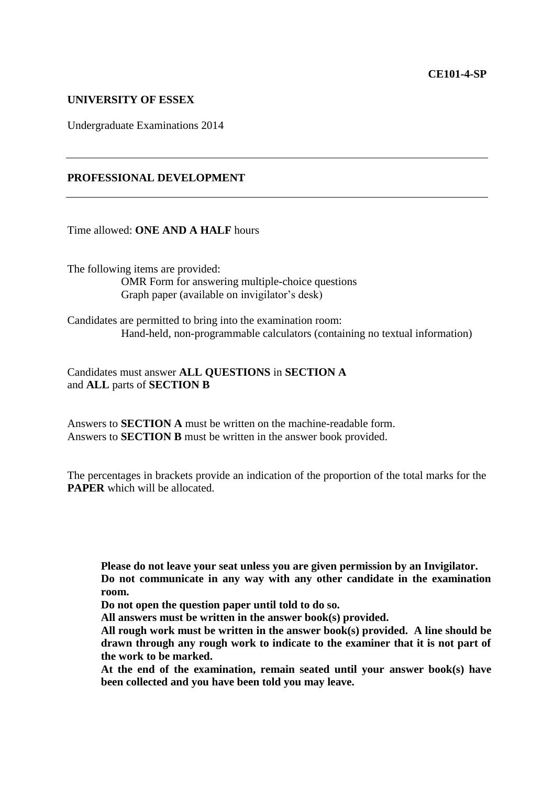#### **UNIVERSITY OF ESSEX**

Undergraduate Examinations 2014

## **PROFESSIONAL DEVELOPMENT**

Time allowed: **ONE AND A HALF** hours

The following items are provided: OMR Form for answering multiple-choice questions Graph paper (available on invigilator's desk)

Candidates are permitted to bring into the examination room: Hand-held, non-programmable calculators (containing no textual information)

Candidates must answer **ALL QUESTIONS** in **SECTION A** and **ALL** parts of **SECTION B**

Answers to **SECTION A** must be written on the machine-readable form. Answers to **SECTION B** must be written in the answer book provided.

The percentages in brackets provide an indication of the proportion of the total marks for the **PAPER** which will be allocated.

**Please do not leave your seat unless you are given permission by an Invigilator. Do not communicate in any way with any other candidate in the examination room.**

**Do not open the question paper until told to do so.**

**All answers must be written in the answer book(s) provided.**

**All rough work must be written in the answer book(s) provided. A line should be drawn through any rough work to indicate to the examiner that it is not part of the work to be marked.** 

**At the end of the examination, remain seated until your answer book(s) have been collected and you have been told you may leave.**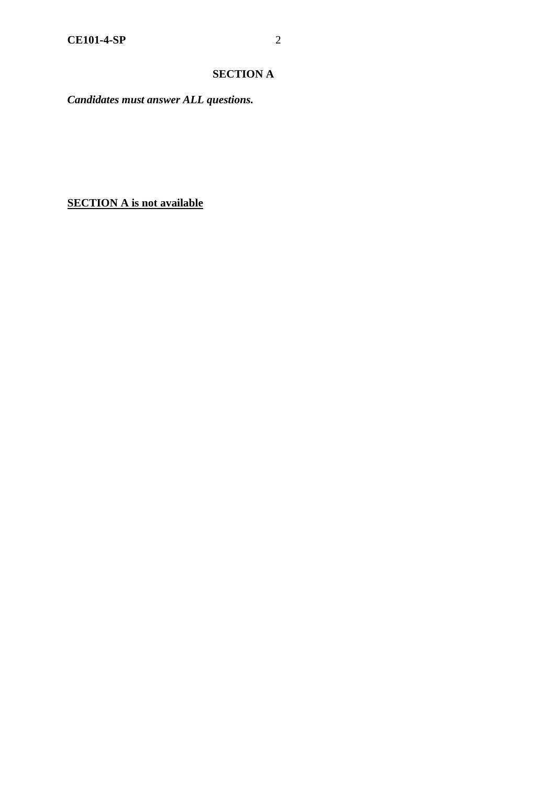# **SECTION A**

*Candidates must answer ALL questions.*

**SECTION A is not available**